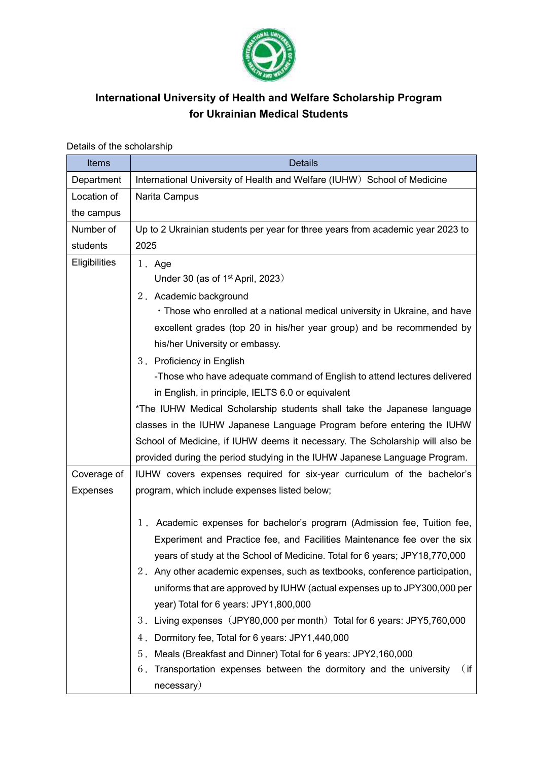

## **International University of Health and Welfare Scholarship Program for Ukrainian Medical Students**

| Items           | <b>Details</b>                                                                 |
|-----------------|--------------------------------------------------------------------------------|
| Department      | International University of Health and Welfare (IUHW) School of Medicine       |
| Location of     | Narita Campus                                                                  |
| the campus      |                                                                                |
| Number of       | Up to 2 Ukrainian students per year for three years from academic year 2023 to |
| students        | 2025                                                                           |
| Eligibilities   | 1. Age                                                                         |
|                 | Under 30 (as of $1st$ April, 2023)                                             |
|                 | 2. Academic background                                                         |
|                 | • Those who enrolled at a national medical university in Ukraine, and have     |
|                 | excellent grades (top 20 in his/her year group) and be recommended by          |
|                 | his/her University or embassy.                                                 |
|                 | 3. Proficiency in English                                                      |
|                 | -Those who have adequate command of English to attend lectures delivered       |
|                 | in English, in principle, IELTS 6.0 or equivalent                              |
|                 | *The IUHW Medical Scholarship students shall take the Japanese language        |
|                 | classes in the IUHW Japanese Language Program before entering the IUHW         |
|                 | School of Medicine, if IUHW deems it necessary. The Scholarship will also be   |
|                 | provided during the period studying in the IUHW Japanese Language Program.     |
| Coverage of     | IUHW covers expenses required for six-year curriculum of the bachelor's        |
| <b>Expenses</b> | program, which include expenses listed below;                                  |
|                 |                                                                                |
|                 | 1. Academic expenses for bachelor's program (Admission fee, Tuition fee,       |
|                 | Experiment and Practice fee, and Facilities Maintenance fee over the six       |
|                 | years of study at the School of Medicine. Total for 6 years; JPY18,770,000     |
|                 | 2. Any other academic expenses, such as textbooks, conference participation,   |
|                 | uniforms that are approved by IUHW (actual expenses up to JPY300,000 per       |
|                 | year) Total for 6 years: JPY1,800,000                                          |
|                 | Living expenses (JPY80,000 per month) Total for 6 years: JPY5,760,000<br>3.    |
|                 | Dormitory fee, Total for 6 years: JPY1,440,000<br>4.                           |
|                 | Meals (Breakfast and Dinner) Total for 6 years: JPY2,160,000<br>5 <sub>1</sub> |
|                 | Transportation expenses between the dormitory and the university<br>(ii<br>6.  |
|                 | necessary)                                                                     |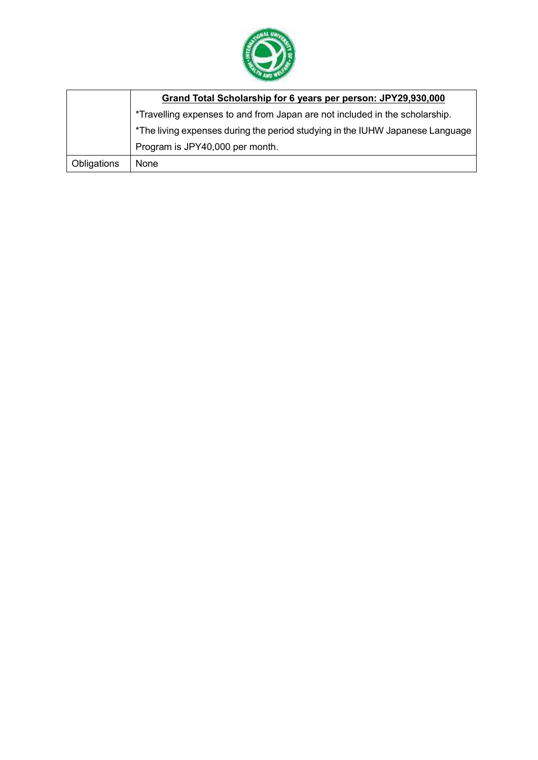

|             | Grand Total Scholarship for 6 years per person: JPY29,930,000                 |
|-------------|-------------------------------------------------------------------------------|
|             | *Travelling expenses to and from Japan are not included in the scholarship.   |
|             | *The living expenses during the period studying in the IUHW Japanese Language |
|             | Program is JPY40,000 per month.                                               |
| Obligations | None                                                                          |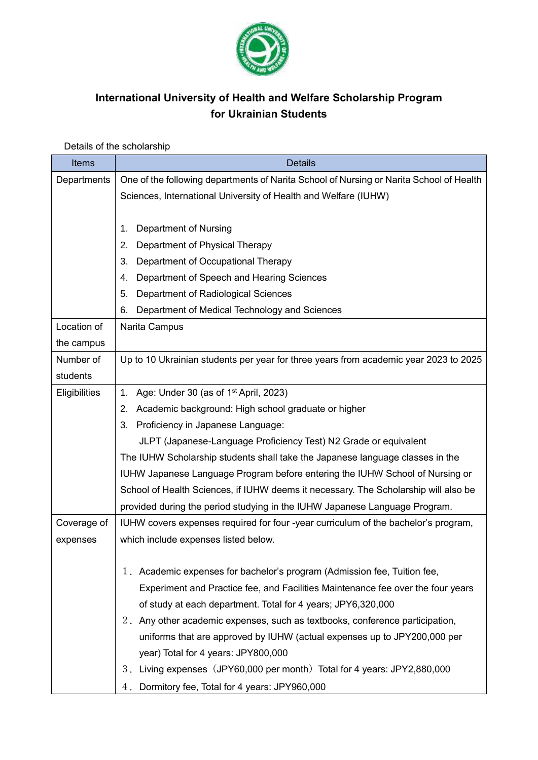

## **International University of Health and Welfare Scholarship Program for Ukrainian Students**

## Details of the scholarship

| <b>Items</b>         | <b>Details</b>                                                                          |
|----------------------|-----------------------------------------------------------------------------------------|
| Departments          | One of the following departments of Narita School of Nursing or Narita School of Health |
|                      | Sciences, International University of Health and Welfare (IUHW)                         |
|                      |                                                                                         |
|                      | <b>Department of Nursing</b><br>1.                                                      |
|                      | Department of Physical Therapy<br>2.                                                    |
|                      | 3.<br>Department of Occupational Therapy                                                |
|                      | Department of Speech and Hearing Sciences<br>4.                                         |
|                      | Department of Radiological Sciences<br>5.                                               |
|                      | 6.<br>Department of Medical Technology and Sciences                                     |
| Location of          | Narita Campus                                                                           |
| the campus           |                                                                                         |
| Number of            | Up to 10 Ukrainian students per year for three years from academic year 2023 to 2025    |
| students             |                                                                                         |
| <b>Eligibilities</b> | Age: Under 30 (as of 1 <sup>st</sup> April, 2023)<br>1.                                 |
|                      | Academic background: High school graduate or higher<br>2.                               |
|                      | Proficiency in Japanese Language:<br>3.                                                 |
|                      | JLPT (Japanese-Language Proficiency Test) N2 Grade or equivalent                        |
|                      | The IUHW Scholarship students shall take the Japanese language classes in the           |
|                      | IUHW Japanese Language Program before entering the IUHW School of Nursing or            |
|                      | School of Health Sciences, if IUHW deems it necessary. The Scholarship will also be     |
|                      | provided during the period studying in the IUHW Japanese Language Program.              |
| Coverage of          | IUHW covers expenses required for four -year curriculum of the bachelor's program,      |
| expenses             | which include expenses listed below.                                                    |
|                      |                                                                                         |
|                      | 1. Academic expenses for bachelor's program (Admission fee, Tuition fee,                |
|                      | Experiment and Practice fee, and Facilities Maintenance fee over the four years         |
|                      | of study at each department. Total for 4 years; JPY6,320,000                            |
|                      | 2. Any other academic expenses, such as textbooks, conference participation,            |
|                      | uniforms that are approved by IUHW (actual expenses up to JPY200,000 per                |
|                      | year) Total for 4 years: JPY800,000                                                     |
|                      | 3. Living expenses (JPY60,000 per month) Total for 4 years: JPY2,880,000                |
|                      | 4. Dormitory fee, Total for 4 years: JPY960,000                                         |